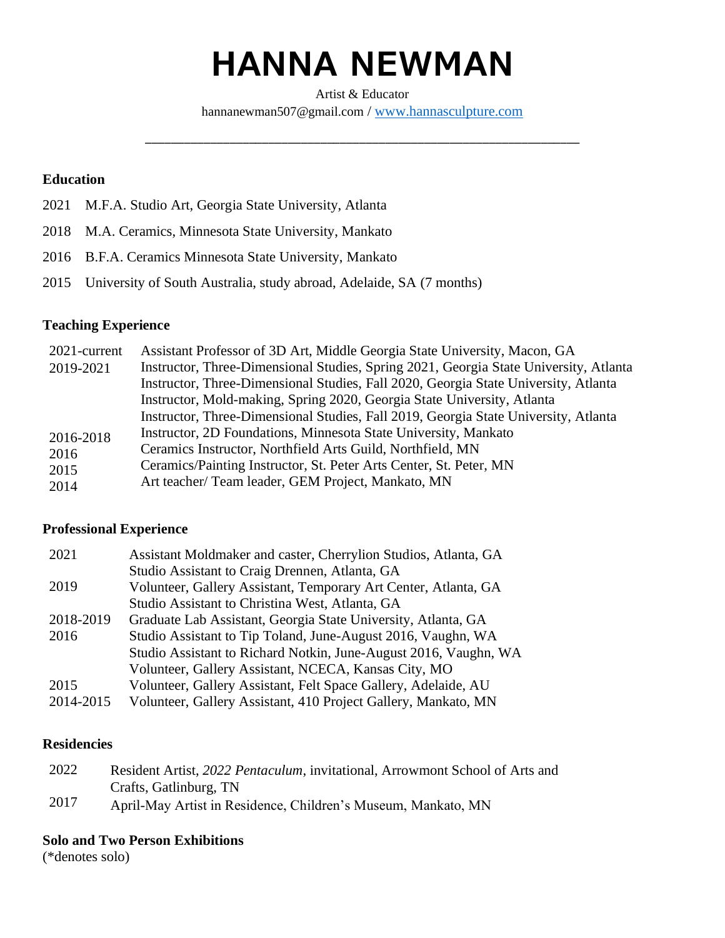# **HANNA NEWMAN**

Artist & Educator [hannanewman507@gmail.com](mailto:hannanewman507@gmail.com) / [www.hannasculpture.com](http://www.hannasculpture.com/)

\_\_\_\_\_\_\_\_\_\_\_\_\_\_\_\_\_\_\_\_\_\_\_\_\_\_\_\_\_\_\_\_\_\_\_\_\_\_\_\_\_\_\_\_\_\_\_\_\_\_\_\_\_\_\_\_\_\_\_\_\_\_\_\_\_\_\_

# **Education**

- 2021 M.F.A. Studio Art, Georgia State University, Atlanta
- 2018 M.A. Ceramics, Minnesota State University, Mankato
- 2016 B.F.A. Ceramics Minnesota State University, Mankato
- 2015 University of South Australia, study abroad, Adelaide, SA (7 months)

#### **Teaching Experience**

| 2021-current | Assistant Professor of 3D Art, Middle Georgia State University, Macon, GA             |
|--------------|---------------------------------------------------------------------------------------|
| 2019-2021    | Instructor, Three-Dimensional Studies, Spring 2021, Georgia State University, Atlanta |
|              | Instructor, Three-Dimensional Studies, Fall 2020, Georgia State University, Atlanta   |
|              | Instructor, Mold-making, Spring 2020, Georgia State University, Atlanta               |
|              | Instructor, Three-Dimensional Studies, Fall 2019, Georgia State University, Atlanta   |
| 2016-2018    | Instructor, 2D Foundations, Minnesota State University, Mankato                       |
| 2016         | Ceramics Instructor, Northfield Arts Guild, Northfield, MN                            |
| 2015         | Ceramics/Painting Instructor, St. Peter Arts Center, St. Peter, MN                    |
| 2014         | Art teacher/ Team leader, GEM Project, Mankato, MN                                    |
|              |                                                                                       |

#### **Professional Experience**

| 2021      | Assistant Moldmaker and caster, Cherrylion Studios, Atlanta, GA  |
|-----------|------------------------------------------------------------------|
|           | Studio Assistant to Craig Drennen, Atlanta, GA                   |
| 2019      | Volunteer, Gallery Assistant, Temporary Art Center, Atlanta, GA  |
|           | Studio Assistant to Christina West, Atlanta, GA                  |
| 2018-2019 | Graduate Lab Assistant, Georgia State University, Atlanta, GA    |
| 2016      | Studio Assistant to Tip Toland, June-August 2016, Vaughn, WA     |
|           | Studio Assistant to Richard Notkin, June-August 2016, Vaughn, WA |
|           | Volunteer, Gallery Assistant, NCECA, Kansas City, MO             |
| 2015      | Volunteer, Gallery Assistant, Felt Space Gallery, Adelaide, AU   |
| 2014-2015 | Volunteer, Gallery Assistant, 410 Project Gallery, Mankato, MN   |

#### **Residencies**

- 2022 Resident Artist, *2022 Pentaculum*, invitational, Arrowmont School of Arts and Crafts, Gatlinburg, TN
- 2017 April-May Artist in Residence, Children's Museum, Mankato, MN

#### **Solo and Two Person Exhibitions**

(\*denotes solo)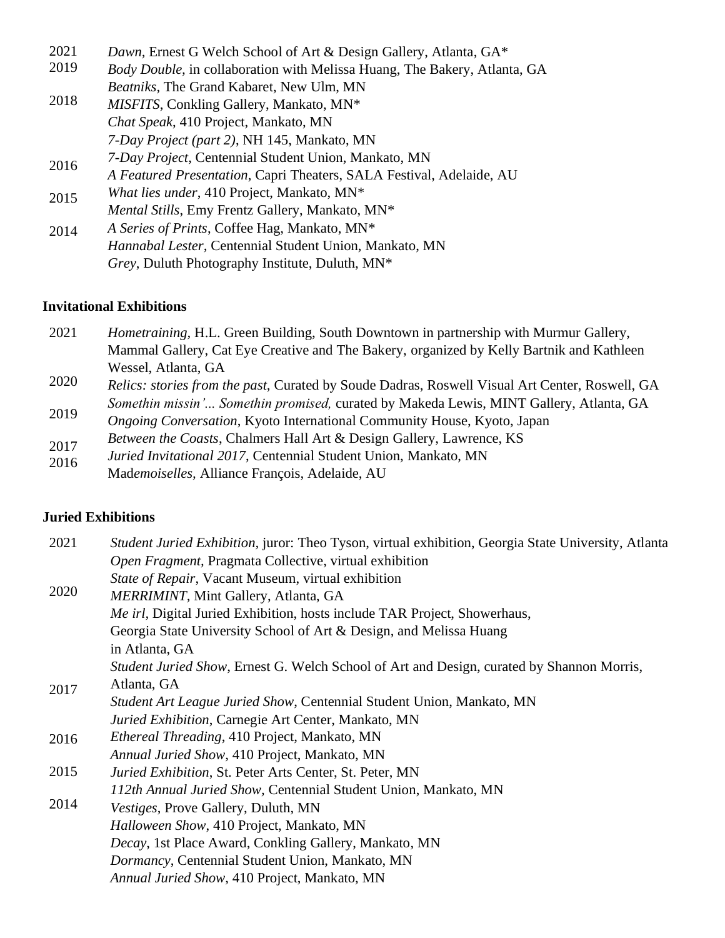| 2021 | Dawn, Ernest G Welch School of Art & Design Gallery, Atlanta, GA*         |
|------|---------------------------------------------------------------------------|
| 2019 | Body Double, in collaboration with Melissa Huang, The Bakery, Atlanta, GA |
|      | Beatniks, The Grand Kabaret, New Ulm, MN                                  |
| 2018 | MISFITS, Conkling Gallery, Mankato, MN*                                   |
|      | Chat Speak, 410 Project, Mankato, MN                                      |
|      | 7-Day Project (part 2), NH 145, Mankato, MN                               |
| 2016 | 7-Day Project, Centennial Student Union, Mankato, MN                      |
|      | A Featured Presentation, Capri Theaters, SALA Festival, Adelaide, AU      |
| 2015 | What lies under, 410 Project, Mankato, MN*                                |
|      | Mental Stills, Emy Frentz Gallery, Mankato, MN*                           |
| 2014 | A Series of Prints, Coffee Hag, Mankato, MN*                              |
|      | Hannabal Lester, Centennial Student Union, Mankato, MN                    |
|      | <i>Grey</i> , Duluth Photography Institute, Duluth, MN <sup>*</sup>       |

## **Invitational Exhibitions**

| 2021 | <i>Hometraining</i> , H.L. Green Building, South Downtown in partnership with Murmur Gallery, |
|------|-----------------------------------------------------------------------------------------------|
|      | Mammal Gallery, Cat Eye Creative and The Bakery, organized by Kelly Bartnik and Kathleen      |
|      | Wessel, Atlanta, GA                                                                           |

- 2020 2019 *Relics: stories from the past,* Curated by Soude Dadras, Roswell Visual Art Center, Roswell, GA *Somethin missin'... Somethin promised,* curated by Makeda Lewis, MINT Gallery, Atlanta, GA
- *Ongoing Conversation*, Kyoto International Community House, Kyoto, Japan
- 2017 *Between the Coasts*, Chalmers Hall Art & Design Gallery, Lawrence, KS
- 2016 *Juried Invitational 2017*, Centennial Student Union, Mankato, MN
- Mad*emoiselles,* Alliance François, Adelaide, AU

# **Juried Exhibitions**

| 2021 | <i>Student Juried Exhibition</i> , juror: Theo Tyson, virtual exhibition, Georgia State University, Atlanta |
|------|-------------------------------------------------------------------------------------------------------------|
|      | Open Fragment, Pragmata Collective, virtual exhibition                                                      |
|      | State of Repair, Vacant Museum, virtual exhibition                                                          |
| 2020 | MERRIMINT, Mint Gallery, Atlanta, GA                                                                        |
|      | Me irl, Digital Juried Exhibition, hosts include TAR Project, Showerhaus,                                   |
|      | Georgia State University School of Art & Design, and Melissa Huang                                          |
|      | in Atlanta, GA                                                                                              |
|      | Student Juried Show, Ernest G. Welch School of Art and Design, curated by Shannon Morris,                   |
| 2017 | Atlanta, GA                                                                                                 |
|      | Student Art League Juried Show, Centennial Student Union, Mankato, MN                                       |
|      | Juried Exhibition, Carnegie Art Center, Mankato, MN                                                         |
| 2016 | <i>Ethereal Threading</i> , 410 Project, Mankato, MN                                                        |
|      | Annual Juried Show, 410 Project, Mankato, MN                                                                |
| 2015 | Juried Exhibition, St. Peter Arts Center, St. Peter, MN                                                     |
|      | 112th Annual Juried Show, Centennial Student Union, Mankato, MN                                             |
| 2014 | <i>Vestiges</i> , Prove Gallery, Duluth, MN                                                                 |
|      | Halloween Show, 410 Project, Mankato, MN                                                                    |
|      | Decay, 1st Place Award, Conkling Gallery, Mankato, MN                                                       |
|      | Dormancy, Centennial Student Union, Mankato, MN                                                             |
|      | Annual Juried Show, 410 Project, Mankato, MN                                                                |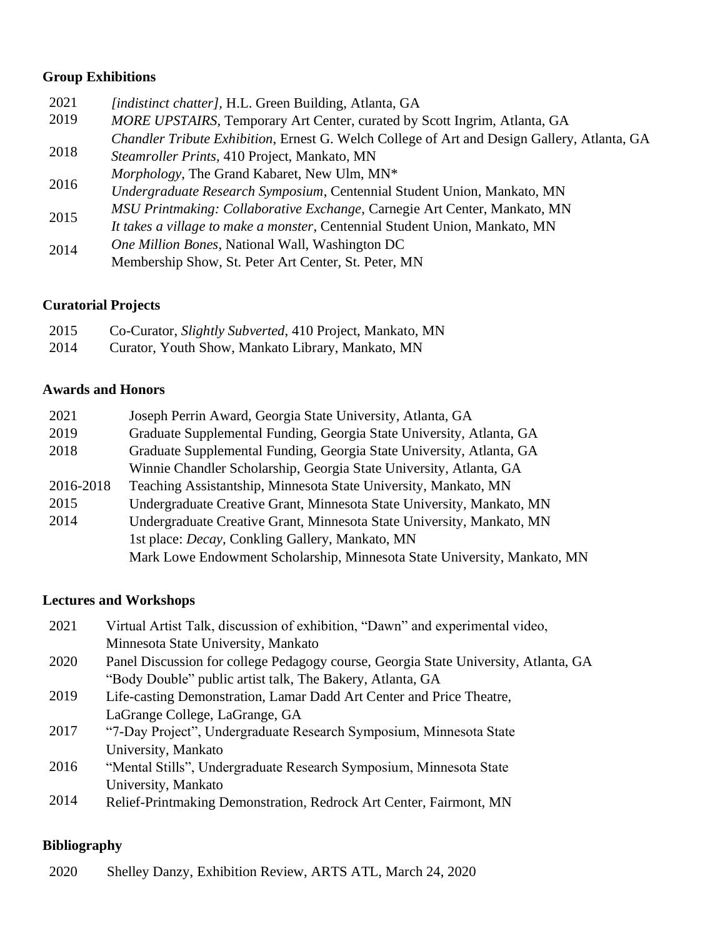## **Group Exhibitions**

| 2021 | [indistinct chatter], H.L. Green Building, Atlanta, GA                                      |
|------|---------------------------------------------------------------------------------------------|
| 2019 | MORE UPSTAIRS, Temporary Art Center, curated by Scott Ingrim, Atlanta, GA                   |
|      | Chandler Tribute Exhibition, Ernest G. Welch College of Art and Design Gallery, Atlanta, GA |
| 2018 | Steamroller Prints, 410 Project, Mankato, MN                                                |
| 2016 | Morphology, The Grand Kabaret, New Ulm, MN*                                                 |
|      | Undergraduate Research Symposium, Centennial Student Union, Mankato, MN                     |
| 2015 | MSU Printmaking: Collaborative Exchange, Carnegie Art Center, Mankato, MN                   |
|      | It takes a village to make a monster, Centennial Student Union, Mankato, MN                 |
| 2014 | One Million Bones, National Wall, Washington DC                                             |
|      | Membership Show, St. Peter Art Center, St. Peter, MN                                        |

# **Curatorial Projects**

| 2015 | Co-Curator, Slightly Subverted, 410 Project, Mankato, MN |
|------|----------------------------------------------------------|
| 2014 | Curator, Youth Show, Mankato Library, Mankato, MN        |

### **Awards and Honors**

| Joseph Perrin Award, Georgia State University, Atlanta, GA               |
|--------------------------------------------------------------------------|
| Graduate Supplemental Funding, Georgia State University, Atlanta, GA     |
| Graduate Supplemental Funding, Georgia State University, Atlanta, GA     |
| Winnie Chandler Scholarship, Georgia State University, Atlanta, GA       |
| Teaching Assistantship, Minnesota State University, Mankato, MN          |
| Undergraduate Creative Grant, Minnesota State University, Mankato, MN    |
| Undergraduate Creative Grant, Minnesota State University, Mankato, MN    |
| 1st place: <i>Decay</i> , Conkling Gallery, Mankato, MN                  |
| Mark Lowe Endowment Scholarship, Minnesota State University, Mankato, MN |
|                                                                          |

## **Lectures and Workshops**

| 2021 | Virtual Artist Talk, discussion of exhibition, "Dawn" and experimental video,       |
|------|-------------------------------------------------------------------------------------|
|      | Minnesota State University, Mankato                                                 |
| 2020 | Panel Discussion for college Pedagogy course, Georgia State University, Atlanta, GA |
|      | "Body Double" public artist talk, The Bakery, Atlanta, GA                           |
| 2019 | Life-casting Demonstration, Lamar Dadd Art Center and Price Theatre,                |
|      | LaGrange College, LaGrange, GA                                                      |
| 2017 | "7-Day Project", Undergraduate Research Symposium, Minnesota State                  |

- 2016 University, Mankato "Mental Stills", Undergraduate Research Symposium, Minnesota State
	- University, Mankato
	- 2014 Relief-Printmaking Demonstration, Redrock Art Center, Fairmont, MN

# **Bibliography**

2020 Shelley Danzy, Exhibition Review, ARTS ATL, March 24, 2020